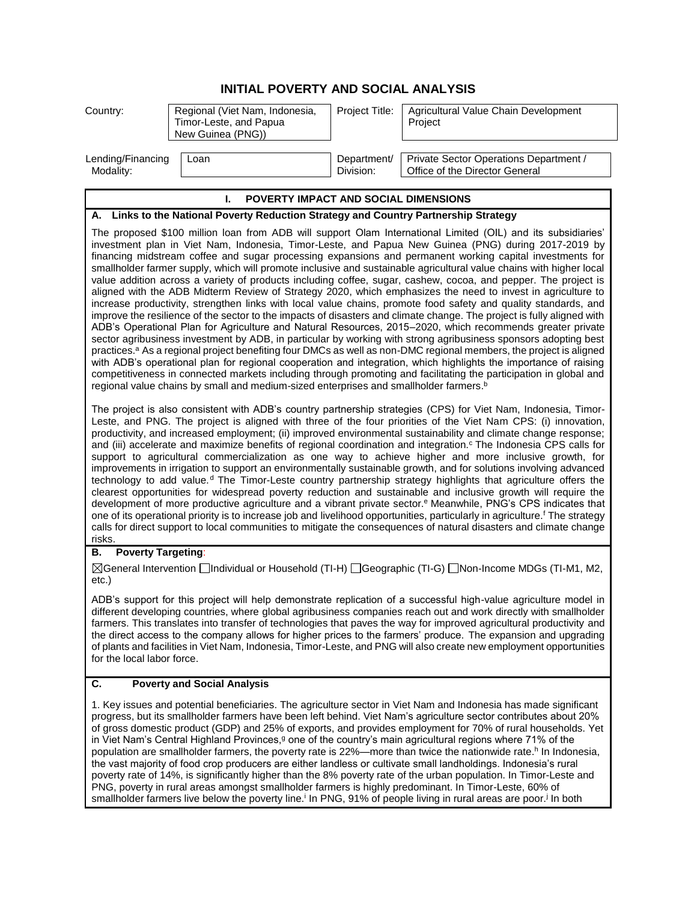## **INITIAL POVERTY AND SOCIAL ANALYSIS**

| Country:                                                                                                                                                                                                                                                                                                                                                                                                                                                                                                                                                                                                                                                                                                                                                                                                                                                                                                                                                                                                                                                                                                                                                                                                                                                                                                                                                                                                                                                                                                                                                                                                                                                                                                                                                                                                                                                                                                                                                                                                                                                                                                                                                                                                                                                                                                                                                                  | Regional (Viet Nam, Indonesia,<br>Timor-Leste, and Papua<br>New Guinea (PNG))                        | Project Title:           | Agricultural Value Chain Development<br>Project                                                                                                                                                                                                                                                                                                                                                                                                                                                                                                                                                                                                                                                                                                                                                                                                       |  |
|---------------------------------------------------------------------------------------------------------------------------------------------------------------------------------------------------------------------------------------------------------------------------------------------------------------------------------------------------------------------------------------------------------------------------------------------------------------------------------------------------------------------------------------------------------------------------------------------------------------------------------------------------------------------------------------------------------------------------------------------------------------------------------------------------------------------------------------------------------------------------------------------------------------------------------------------------------------------------------------------------------------------------------------------------------------------------------------------------------------------------------------------------------------------------------------------------------------------------------------------------------------------------------------------------------------------------------------------------------------------------------------------------------------------------------------------------------------------------------------------------------------------------------------------------------------------------------------------------------------------------------------------------------------------------------------------------------------------------------------------------------------------------------------------------------------------------------------------------------------------------------------------------------------------------------------------------------------------------------------------------------------------------------------------------------------------------------------------------------------------------------------------------------------------------------------------------------------------------------------------------------------------------------------------------------------------------------------------------------------------------|------------------------------------------------------------------------------------------------------|--------------------------|-------------------------------------------------------------------------------------------------------------------------------------------------------------------------------------------------------------------------------------------------------------------------------------------------------------------------------------------------------------------------------------------------------------------------------------------------------------------------------------------------------------------------------------------------------------------------------------------------------------------------------------------------------------------------------------------------------------------------------------------------------------------------------------------------------------------------------------------------------|--|
| Lending/Financing<br>Modality:                                                                                                                                                                                                                                                                                                                                                                                                                                                                                                                                                                                                                                                                                                                                                                                                                                                                                                                                                                                                                                                                                                                                                                                                                                                                                                                                                                                                                                                                                                                                                                                                                                                                                                                                                                                                                                                                                                                                                                                                                                                                                                                                                                                                                                                                                                                                            | Loan                                                                                                 | Department/<br>Division: | Private Sector Operations Department /<br>Office of the Director General                                                                                                                                                                                                                                                                                                                                                                                                                                                                                                                                                                                                                                                                                                                                                                              |  |
| L.<br>POVERTY IMPACT AND SOCIAL DIMENSIONS                                                                                                                                                                                                                                                                                                                                                                                                                                                                                                                                                                                                                                                                                                                                                                                                                                                                                                                                                                                                                                                                                                                                                                                                                                                                                                                                                                                                                                                                                                                                                                                                                                                                                                                                                                                                                                                                                                                                                                                                                                                                                                                                                                                                                                                                                                                                |                                                                                                      |                          |                                                                                                                                                                                                                                                                                                                                                                                                                                                                                                                                                                                                                                                                                                                                                                                                                                                       |  |
| Links to the National Poverty Reduction Strategy and Country Partnership Strategy<br>А.                                                                                                                                                                                                                                                                                                                                                                                                                                                                                                                                                                                                                                                                                                                                                                                                                                                                                                                                                                                                                                                                                                                                                                                                                                                                                                                                                                                                                                                                                                                                                                                                                                                                                                                                                                                                                                                                                                                                                                                                                                                                                                                                                                                                                                                                                   |                                                                                                      |                          |                                                                                                                                                                                                                                                                                                                                                                                                                                                                                                                                                                                                                                                                                                                                                                                                                                                       |  |
| The proposed \$100 million loan from ADB will support Olam International Limited (OIL) and its subsidiaries'<br>investment plan in Viet Nam, Indonesia, Timor-Leste, and Papua New Guinea (PNG) during 2017-2019 by<br>financing midstream coffee and sugar processing expansions and permanent working capital investments for<br>smallholder farmer supply, which will promote inclusive and sustainable agricultural value chains with higher local<br>value addition across a variety of products including coffee, sugar, cashew, cocoa, and pepper. The project is<br>aligned with the ADB Midterm Review of Strategy 2020, which emphasizes the need to invest in agriculture to<br>increase productivity, strengthen links with local value chains, promote food safety and quality standards, and<br>improve the resilience of the sector to the impacts of disasters and climate change. The project is fully aligned with<br>ADB's Operational Plan for Agriculture and Natural Resources, 2015-2020, which recommends greater private<br>sector agribusiness investment by ADB, in particular by working with strong agribusiness sponsors adopting best<br>practices. <sup>a</sup> As a regional project benefiting four DMCs as well as non-DMC regional members, the project is aligned<br>with ADB's operational plan for regional cooperation and integration, which highlights the importance of raising<br>competitiveness in connected markets including through promoting and facilitating the participation in global and<br>regional value chains by small and medium-sized enterprises and smallholder farmers. <sup>b</sup><br>The project is also consistent with ADB's country partnership strategies (CPS) for Viet Nam, Indonesia, Timor-<br>Leste, and PNG. The project is aligned with three of the four priorities of the Viet Nam CPS: (i) innovation,<br>productivity, and increased employment; (ii) improved environmental sustainability and climate change response;<br>and (iii) accelerate and maximize benefits of regional coordination and integration. <sup>c</sup> The Indonesia CPS calls for<br>support to agricultural commercialization as one way to achieve higher and more inclusive growth, for<br>improvements in irrigation to support an environmentally sustainable growth, and for solutions involving advanced |                                                                                                      |                          |                                                                                                                                                                                                                                                                                                                                                                                                                                                                                                                                                                                                                                                                                                                                                                                                                                                       |  |
| risks.                                                                                                                                                                                                                                                                                                                                                                                                                                                                                                                                                                                                                                                                                                                                                                                                                                                                                                                                                                                                                                                                                                                                                                                                                                                                                                                                                                                                                                                                                                                                                                                                                                                                                                                                                                                                                                                                                                                                                                                                                                                                                                                                                                                                                                                                                                                                                                    |                                                                                                      |                          | technology to add value. <sup>d</sup> The Timor-Leste country partnership strategy highlights that agriculture offers the<br>clearest opportunities for widespread poverty reduction and sustainable and inclusive growth will require the<br>development of more productive agriculture and a vibrant private sector. <sup>e</sup> Meanwhile, PNG's CPS indicates that<br>one of its operational priority is to increase job and livelihood opportunities, particularly in agriculture. <sup>f</sup> The strategy<br>calls for direct support to local communities to mitigate the consequences of natural disasters and climate change                                                                                                                                                                                                              |  |
| <b>Poverty Targeting:</b><br>В.                                                                                                                                                                                                                                                                                                                                                                                                                                                                                                                                                                                                                                                                                                                                                                                                                                                                                                                                                                                                                                                                                                                                                                                                                                                                                                                                                                                                                                                                                                                                                                                                                                                                                                                                                                                                                                                                                                                                                                                                                                                                                                                                                                                                                                                                                                                                           |                                                                                                      |                          |                                                                                                                                                                                                                                                                                                                                                                                                                                                                                                                                                                                                                                                                                                                                                                                                                                                       |  |
| $etc.$ )                                                                                                                                                                                                                                                                                                                                                                                                                                                                                                                                                                                                                                                                                                                                                                                                                                                                                                                                                                                                                                                                                                                                                                                                                                                                                                                                                                                                                                                                                                                                                                                                                                                                                                                                                                                                                                                                                                                                                                                                                                                                                                                                                                                                                                                                                                                                                                  |                                                                                                      |                          | ⊠General Intervention □Individual or Household (TI-H) □Geographic (TI-G) □Non-Income MDGs (TI-M1, M2,                                                                                                                                                                                                                                                                                                                                                                                                                                                                                                                                                                                                                                                                                                                                                 |  |
| for the local labor force.                                                                                                                                                                                                                                                                                                                                                                                                                                                                                                                                                                                                                                                                                                                                                                                                                                                                                                                                                                                                                                                                                                                                                                                                                                                                                                                                                                                                                                                                                                                                                                                                                                                                                                                                                                                                                                                                                                                                                                                                                                                                                                                                                                                                                                                                                                                                                |                                                                                                      |                          | ADB's support for this project will help demonstrate replication of a successful high-value agriculture model in<br>different developing countries, where global agribusiness companies reach out and work directly with smallholder<br>farmers. This translates into transfer of technologies that paves the way for improved agricultural productivity and<br>the direct access to the company allows for higher prices to the farmers' produce. The expansion and upgrading<br>of plants and facilities in Viet Nam, Indonesia, Timor-Leste, and PNG will also create new employment opportunities                                                                                                                                                                                                                                                 |  |
| C.<br><b>Poverty and Social Analysis</b>                                                                                                                                                                                                                                                                                                                                                                                                                                                                                                                                                                                                                                                                                                                                                                                                                                                                                                                                                                                                                                                                                                                                                                                                                                                                                                                                                                                                                                                                                                                                                                                                                                                                                                                                                                                                                                                                                                                                                                                                                                                                                                                                                                                                                                                                                                                                  |                                                                                                      |                          |                                                                                                                                                                                                                                                                                                                                                                                                                                                                                                                                                                                                                                                                                                                                                                                                                                                       |  |
|                                                                                                                                                                                                                                                                                                                                                                                                                                                                                                                                                                                                                                                                                                                                                                                                                                                                                                                                                                                                                                                                                                                                                                                                                                                                                                                                                                                                                                                                                                                                                                                                                                                                                                                                                                                                                                                                                                                                                                                                                                                                                                                                                                                                                                                                                                                                                                           | PNG poverty in rural areas amongst smallholder farmers is highly predominant. In Timor-Leste, 60% of |                          | 1. Key issues and potential beneficiaries. The agriculture sector in Viet Nam and Indonesia has made significant<br>progress, but its smallholder farmers have been left behind. Viet Nam's agriculture sector contributes about 20%<br>of gross domestic product (GDP) and 25% of exports, and provides employment for 70% of rural households. Yet<br>in Viet Nam's Central Highland Provinces, <sup>9</sup> one of the country's main agricultural regions where 71% of the<br>population are smallholder farmers, the poverty rate is 22%—more than twice the nationwide rate. <sup>h</sup> In Indonesia,<br>the vast majority of food crop producers are either landless or cultivate small landholdings. Indonesia's rural<br>poverty rate of 14%, is significantly higher than the 8% poverty rate of the urban population. In Timor-Leste and |  |

PNG, poverty in rural areas amongst smallholder farmers is highly predominant. In Timor-Leste, 60% of smallholder farmers live below the poverty line.<sup>i</sup> In PNG, 91% of people living in rural areas are poor.<sup>j</sup> In both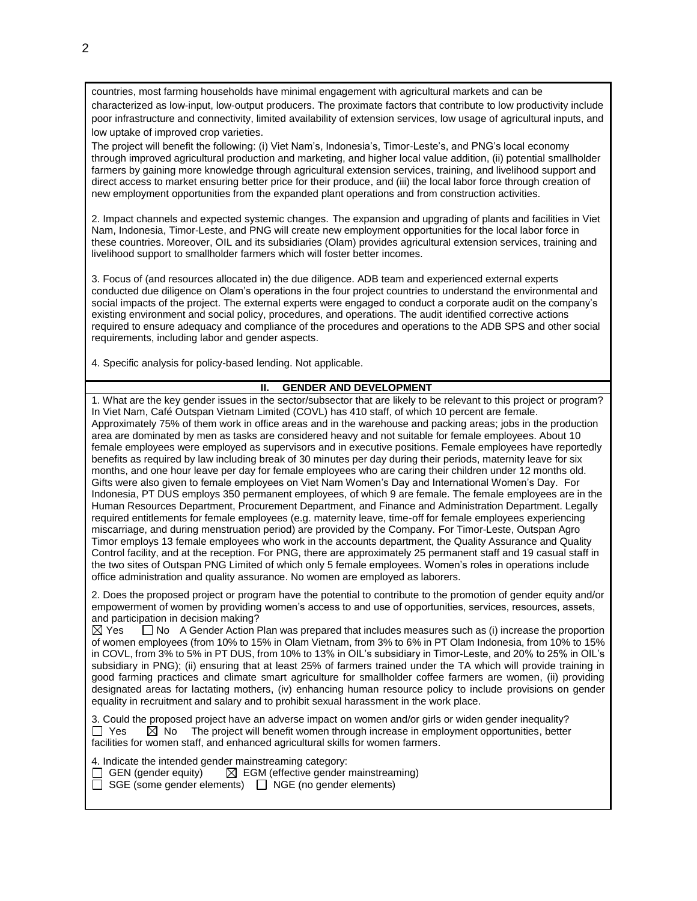countries, most farming households have minimal engagement with agricultural markets and can be characterized as low-input, low-output producers. The proximate factors that contribute to low productivity include poor infrastructure and connectivity, limited availability of extension services, low usage of agricultural inputs, and low uptake of improved crop varieties.

The project will benefit the following: (i) Viet Nam's, Indonesia's, Timor-Leste's, and PNG's local economy through improved agricultural production and marketing, and higher local value addition, (ii) potential smallholder farmers by gaining more knowledge through agricultural extension services, training, and livelihood support and direct access to market ensuring better price for their produce, and (iii) the local labor force through creation of new employment opportunities from the expanded plant operations and from construction activities.

2. Impact channels and expected systemic changes. The expansion and upgrading of plants and facilities in Viet Nam, Indonesia, Timor-Leste, and PNG will create new employment opportunities for the local labor force in these countries. Moreover, OIL and its subsidiaries (Olam) provides agricultural extension services, training and livelihood support to smallholder farmers which will foster better incomes.

3. Focus of (and resources allocated in) the due diligence. ADB team and experienced external experts conducted due diligence on Olam's operations in the four project countries to understand the environmental and social impacts of the project. The external experts were engaged to conduct a corporate audit on the company's existing environment and social policy, procedures, and operations. The audit identified corrective actions required to ensure adequacy and compliance of the procedures and operations to the ADB SPS and other social requirements, including labor and gender aspects.

4. Specific analysis for policy-based lending. Not applicable.

## **II. GENDER AND DEVELOPMENT**

1. What are the key gender issues in the sector/subsector that are likely to be relevant to this project or program? In Viet Nam, Café Outspan Vietnam Limited (COVL) has 410 staff, of which 10 percent are female. Approximately 75% of them work in office areas and in the warehouse and packing areas; jobs in the production area are dominated by men as tasks are considered heavy and not suitable for female employees. About 10 female employees were employed as supervisors and in executive positions. Female employees have reportedly benefits as required by law including break of 30 minutes per day during their periods, maternity leave for six months, and one hour leave per day for female employees who are caring their children under 12 months old. Gifts were also given to female employees on Viet Nam Women's Day and International Women's Day. For Indonesia, PT DUS employs 350 permanent employees, of which 9 are female. The female employees are in the Human Resources Department, Procurement Department, and Finance and Administration Department. Legally required entitlements for female employees (e.g. maternity leave, time-off for female employees experiencing miscarriage, and during menstruation period) are provided by the Company. For Timor-Leste, Outspan Agro Timor employs 13 female employees who work in the accounts department, the Quality Assurance and Quality Control facility, and at the reception. For PNG, there are approximately 25 permanent staff and 19 casual staff in the two sites of Outspan PNG Limited of which only 5 female employees. Women's roles in operations include office administration and quality assurance. No women are employed as laborers.

2. Does the proposed project or program have the potential to contribute to the promotion of gender equity and/or empowerment of women by providing women's access to and use of opportunities, services, resources, assets, and participation in decision making?

 $\boxtimes$  Yes  $\Box$  No A Gender Action Plan was prepared that includes measures such as (i) increase the proportion of women employees (from 10% to 15% in Olam Vietnam, from 3% to 6% in PT Olam Indonesia, from 10% to 15% in COVL, from 3% to 5% in PT DUS, from 10% to 13% in OIL's subsidiary in Timor-Leste, and 20% to 25% in OIL's subsidiary in PNG); (ii) ensuring that at least 25% of farmers trained under the TA which will provide training in good farming practices and climate smart agriculture for smallholder coffee farmers are women, (ii) providing designated areas for lactating mothers, (iv) enhancing human resource policy to include provisions on gender equality in recruitment and salary and to prohibit sexual harassment in the work place.

3. Could the proposed project have an adverse impact on women and/or girls or widen gender inequality?<br>  $\Box$  Yes  $\Box$  No The project will benefit women through increase in employment opportunities. better  $\boxtimes$  No The project will benefit women through increase in employment opportunities, better facilities for women staff, and enhanced agricultural skills for women farmers.

4. Indicate the intended gender mainstreaming category:

 $\Box$  GEN (gender equity)  $\Box$  EGM (effective gender mainstreaming)

 $\Box$  SGE (some gender elements)  $\Box$  NGE (no gender elements)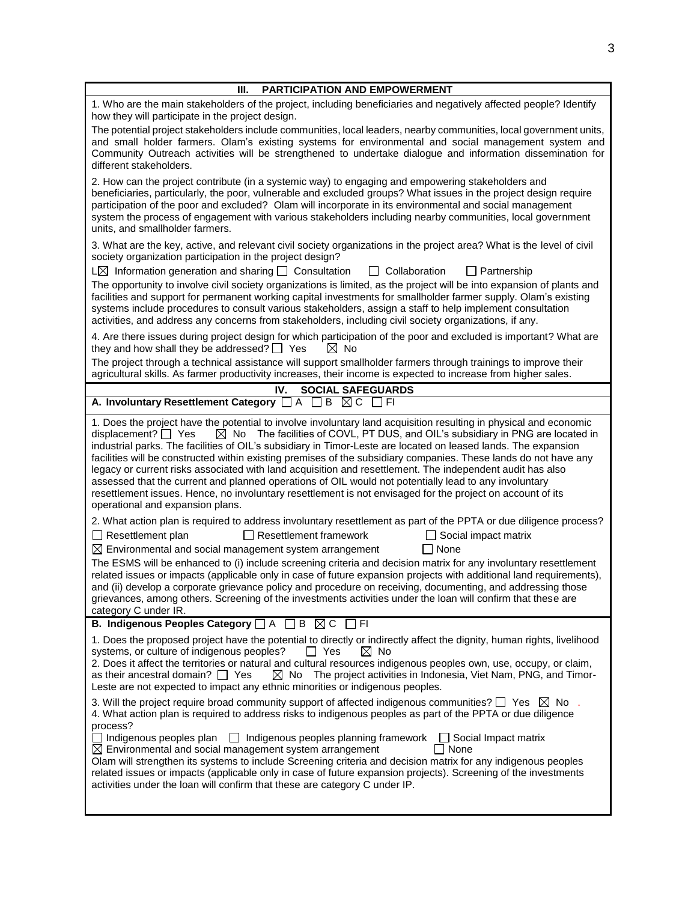| <b>PARTICIPATION AND EMPOWERMENT</b><br>Ш.                                                                                                                                                                                                                                                                                                                                                                                                                                                                                                                                                                                                                                                                                                                                                                                                               |
|----------------------------------------------------------------------------------------------------------------------------------------------------------------------------------------------------------------------------------------------------------------------------------------------------------------------------------------------------------------------------------------------------------------------------------------------------------------------------------------------------------------------------------------------------------------------------------------------------------------------------------------------------------------------------------------------------------------------------------------------------------------------------------------------------------------------------------------------------------|
| 1. Who are the main stakeholders of the project, including beneficiaries and negatively affected people? Identify<br>how they will participate in the project design.                                                                                                                                                                                                                                                                                                                                                                                                                                                                                                                                                                                                                                                                                    |
| The potential project stakeholders include communities, local leaders, nearby communities, local government units,<br>and small holder farmers. Olam's existing systems for environmental and social management system and<br>Community Outreach activities will be strengthened to undertake dialogue and information dissemination for<br>different stakeholders.                                                                                                                                                                                                                                                                                                                                                                                                                                                                                      |
| 2. How can the project contribute (in a systemic way) to engaging and empowering stakeholders and<br>beneficiaries, particularly, the poor, vulnerable and excluded groups? What issues in the project design require<br>participation of the poor and excluded? Olam will incorporate in its environmental and social management<br>system the process of engagement with various stakeholders including nearby communities, local government<br>units, and smallholder farmers.                                                                                                                                                                                                                                                                                                                                                                        |
| 3. What are the key, active, and relevant civil society organizations in the project area? What is the level of civil<br>society organization participation in the project design?                                                                                                                                                                                                                                                                                                                                                                                                                                                                                                                                                                                                                                                                       |
| $L\boxtimes$ Information generation and sharing $\Box$ Consultation<br>$\Box$ Collaboration<br>$\Box$ Partnership<br>The opportunity to involve civil society organizations is limited, as the project will be into expansion of plants and<br>facilities and support for permanent working capital investments for smallholder farmer supply. Olam's existing<br>systems include procedures to consult various stakeholders, assign a staff to help implement consultation<br>activities, and address any concerns from stakeholders, including civil society organizations, if any.                                                                                                                                                                                                                                                                    |
| 4. Are there issues during project design for which participation of the poor and excluded is important? What are<br>they and how shall they be addressed? $\Box$ Yes<br>$\boxtimes$ No<br>The project through a technical assistance will support smallholder farmers through trainings to improve their<br>agricultural skills. As farmer productivity increases, their income is expected to increase from higher sales.                                                                                                                                                                                                                                                                                                                                                                                                                              |
| IV.<br><b>SOCIAL SAFEGUARDS</b>                                                                                                                                                                                                                                                                                                                                                                                                                                                                                                                                                                                                                                                                                                                                                                                                                          |
| A. Involuntary Resettlement Category □ A □ B ⊠ C □ FI                                                                                                                                                                                                                                                                                                                                                                                                                                                                                                                                                                                                                                                                                                                                                                                                    |
| 1. Does the project have the potential to involve involuntary land acquisition resulting in physical and economic<br>displacement? $\Box$ Yes<br>$\boxtimes$ No The facilities of COVL, PT DUS, and OIL's subsidiary in PNG are located in<br>industrial parks. The facilities of OIL's subsidiary in Timor-Leste are located on leased lands. The expansion<br>facilities will be constructed within existing premises of the subsidiary companies. These lands do not have any<br>legacy or current risks associated with land acquisition and resettlement. The independent audit has also<br>assessed that the current and planned operations of OIL would not potentially lead to any involuntary<br>resettlement issues. Hence, no involuntary resettlement is not envisaged for the project on account of its<br>operational and expansion plans. |
| 2. What action plan is required to address involuntary resettlement as part of the PPTA or due diligence process?<br>$\Box$ Resettlement plan<br>$\Box$ Resettlement framework<br>$\Box$ Social impact matrix<br>$\boxtimes$ Environmental and social management system arrangement<br>$\Box$ None                                                                                                                                                                                                                                                                                                                                                                                                                                                                                                                                                       |
| The ESMS will be enhanced to (i) include screening criteria and decision matrix for any involuntary resettlement<br>related issues or impacts (applicable only in case of future expansion projects with additional land requirements),<br>and (ii) develop a corporate grievance policy and procedure on receiving, documenting, and addressing those<br>grievances, among others. Screening of the investments activities under the loan will confirm that these are<br>category C under IR.                                                                                                                                                                                                                                                                                                                                                           |
| B. Indigenous Peoples Category □ A □ B ⊠ C □ FI                                                                                                                                                                                                                                                                                                                                                                                                                                                                                                                                                                                                                                                                                                                                                                                                          |
| 1. Does the proposed project have the potential to directly or indirectly affect the dignity, human rights, livelihood<br>systems, or culture of indigenous peoples?<br>$\Box$ Yes<br>$\boxtimes$ No<br>2. Does it affect the territories or natural and cultural resources indigenous peoples own, use, occupy, or claim,<br>$\boxtimes$ No The project activities in Indonesia, Viet Nam, PNG, and Timor-<br>as their ancestral domain? $\Box$ Yes<br>Leste are not expected to impact any ethnic minorities or indigenous peoples.<br>3. Will the project require broad community support of affected indigenous communities? $\Box$ Yes $\boxtimes$ No<br>4. What action plan is required to address risks to indigenous peoples as part of the PPTA or due diligence                                                                                |
| process?<br>Indigenous peoples plan   Indigenous peoples planning framework   Social Impact matrix<br>∃ None<br>$\boxtimes$ Environmental and social management system arrangement<br>Olam will strengthen its systems to include Screening criteria and decision matrix for any indigenous peoples<br>related issues or impacts (applicable only in case of future expansion projects). Screening of the investments<br>activities under the loan will confirm that these are category C under IP.                                                                                                                                                                                                                                                                                                                                                      |